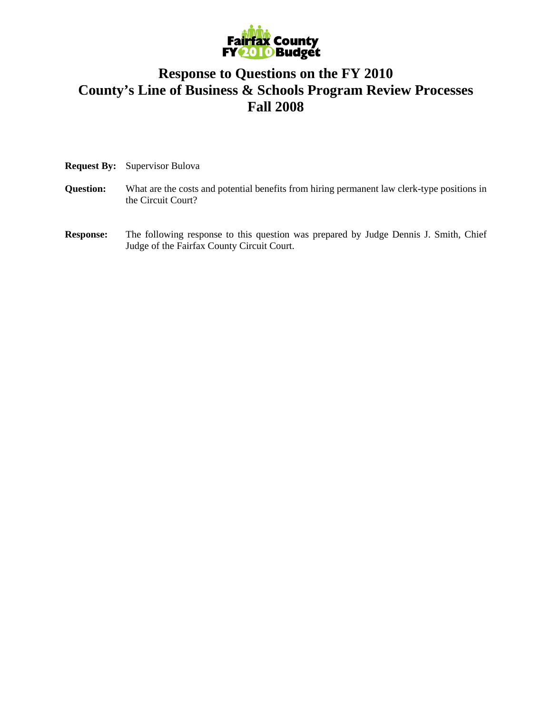

## **Response to Questions on the FY 2010 County's Line of Business & Schools Program Review Processes Fall 2008**

|  | <b>Request By:</b> Supervisor Bulova |
|--|--------------------------------------|
|--|--------------------------------------|

- **Question:** What are the costs and potential benefits from hiring permanent law clerk-type positions in the Circuit Court?
- **Response:** The following response to this question was prepared by Judge Dennis J. Smith, Chief Judge of the Fairfax County Circuit Court.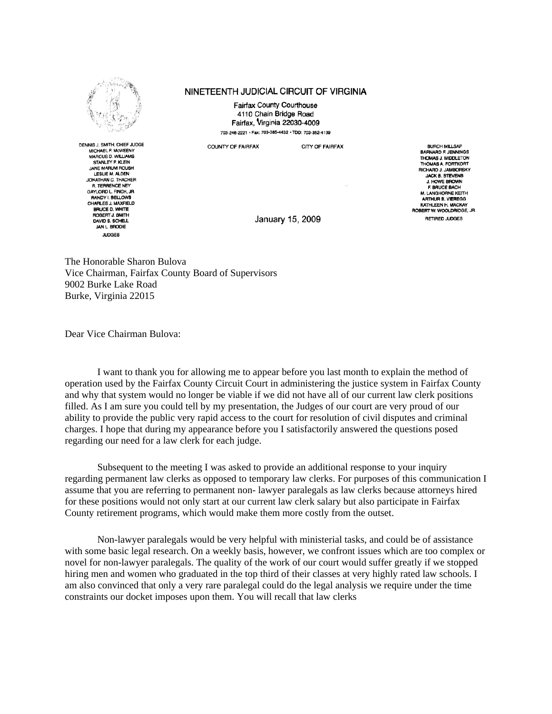

## NINETEENTH JUDICIAL CIRCUIT OF VIRGINIA

Fairfax County Courthouse 4110 Chain Bridge Road Fairfax, Virginia 22030-4009 703-246-2221 · Fax: 703-385-4432 · TDD: 703-352-4139

**COUNTY OF FAIRFAX** 

CITY OF FAIRFAX

DENNIS J. SMITH, CHIEF JUDGE MICHAEL P. MCWEENY MARCUS D. WILLIAMS STANLEY P. KLEIN **JANE MARUM ROUSH** LESLIE M. ALDEN JONATHAN C. THACHER R. TERRENCE NEY<br>GAYLORD L. FINCH, JR. RANDY I. BELLOWS CHARLES J. MAXFIELD BRICED WHITE ROBERT J. SMITH DAVID S. SCHELL **JAN L. BRODIE JUDGES** 

January 15, 2009

**BURCH MILLSAP** BARNARD F. JENNINGS THOMAS A. FORTKORT **JACK B. STEVENS** J. HOWE BROWN **F BRUCE BACH** M. LANGHORNE KEITH ARTHUR B. VIEREGG KATHLEEN H. MACKAY<br>ROBERT W. WOOLDRIDGE, JR. BETIBED JUDGES

The Honorable Sharon Bulova Vice Chairman, Fairfax County Board of Supervisors 9002 Burke Lake Road Burke, Virginia 22015

Dear Vice Chairman Bulova:

I want to thank you for allowing me to appear before you last month to explain the method of operation used by the Fairfax County Circuit Court in administering the justice system in Fairfax County and why that system would no longer be viable if we did not have all of our current law clerk positions filled. As I am sure you could tell by my presentation, the Judges of our court are very proud of our ability to provide the public very rapid access to the court for resolution of civil disputes and criminal charges. I hope that during my appearance before you I satisfactorily answered the questions posed regarding our need for a law clerk for each judge.

Subsequent to the meeting I was asked to provide an additional response to your inquiry regarding permanent law clerks as opposed to temporary law clerks. For purposes of this communication I assume that you are referring to permanent non- lawyer paralegals as law clerks because attorneys hired for these positions would not only start at our current law clerk salary but also participate in Fairfax County retirement programs, which would make them more costly from the outset.

Non-lawyer paralegals would be very helpful with ministerial tasks, and could be of assistance with some basic legal research. On a weekly basis, however, we confront issues which are too complex or novel for non-lawyer paralegals. The quality of the work of our court would suffer greatly if we stopped hiring men and women who graduated in the top third of their classes at very highly rated law schools. I am also convinced that only a very rare paralegal could do the legal analysis we require under the time constraints our docket imposes upon them. You will recall that law clerks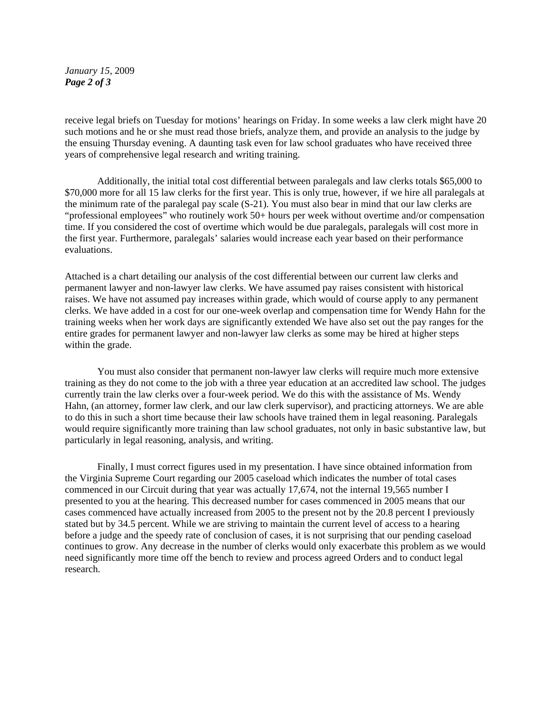*January 15,* 2009 *Page 2 of 3* 

receive legal briefs on Tuesday for motions' hearings on Friday. In some weeks a law clerk might have 20 such motions and he or she must read those briefs, analyze them, and provide an analysis to the judge by the ensuing Thursday evening. A daunting task even for law school graduates who have received three years of comprehensive legal research and writing training.

Additionally, the initial total cost differential between paralegals and law clerks totals \$65,000 to \$70,000 more for all 15 law clerks for the first year. This is only true, however, if we hire all paralegals at the minimum rate of the paralegal pay scale (S-21). You must also bear in mind that our law clerks are "professional employees" who routinely work 50+ hours per week without overtime and/or compensation time. If you considered the cost of overtime which would be due paralegals, paralegals will cost more in the first year. Furthermore, paralegals' salaries would increase each year based on their performance evaluations.

Attached is a chart detailing our analysis of the cost differential between our current law clerks and permanent lawyer and non-lawyer law clerks. We have assumed pay raises consistent with historical raises. We have not assumed pay increases within grade, which would of course apply to any permanent clerks. We have added in a cost for our one-week overlap and compensation time for Wendy Hahn for the training weeks when her work days are significantly extended We have also set out the pay ranges for the entire grades for permanent lawyer and non-lawyer law clerks as some may be hired at higher steps within the grade.

You must also consider that permanent non-lawyer law clerks will require much more extensive training as they do not come to the job with a three year education at an accredited law school. The judges currently train the law clerks over a four-week period. We do this with the assistance of Ms. Wendy Hahn, (an attorney, former law clerk, and our law clerk supervisor), and practicing attorneys. We are able to do this in such a short time because their law schools have trained them in legal reasoning. Paralegals would require significantly more training than law school graduates, not only in basic substantive law, but particularly in legal reasoning, analysis, and writing.

Finally, I must correct figures used in my presentation. I have since obtained information from the Virginia Supreme Court regarding our 2005 caseload which indicates the number of total cases commenced in our Circuit during that year was actually 17,674, not the internal 19,565 number I presented to you at the hearing. This decreased number for cases commenced in 2005 means that our cases commenced have actually increased from 2005 to the present not by the 20.8 percent I previously stated but by 34.5 percent. While we are striving to maintain the current level of access to a hearing before a judge and the speedy rate of conclusion of cases, it is not surprising that our pending caseload continues to grow. Any decrease in the number of clerks would only exacerbate this problem as we would need significantly more time off the bench to review and process agreed Orders and to conduct legal research.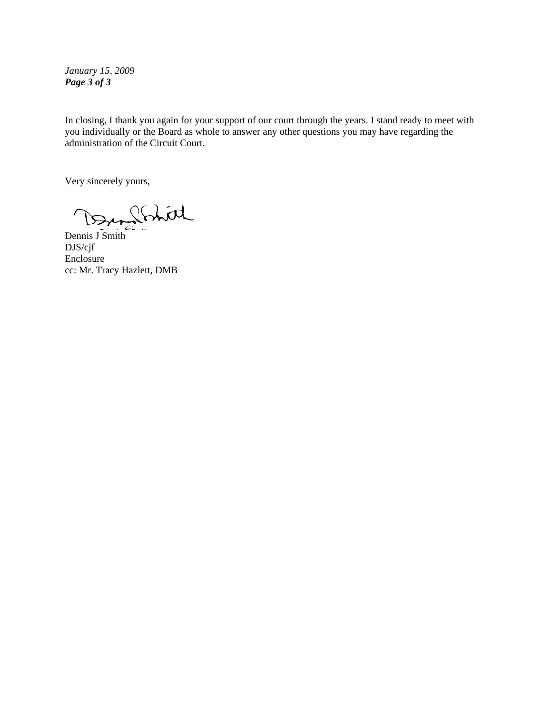*January 15, 2009 Page 3 of 3* 

In closing, I thank you again for your support of our court through the years. I stand ready to meet with you individually or the Board as whole to answer any other questions you may have regarding the administration of the Circuit Court.

Very sincerely yours,

Dann Stritt

DJS/cjf Enclosure cc: Mr. Tracy Hazlett, DMB